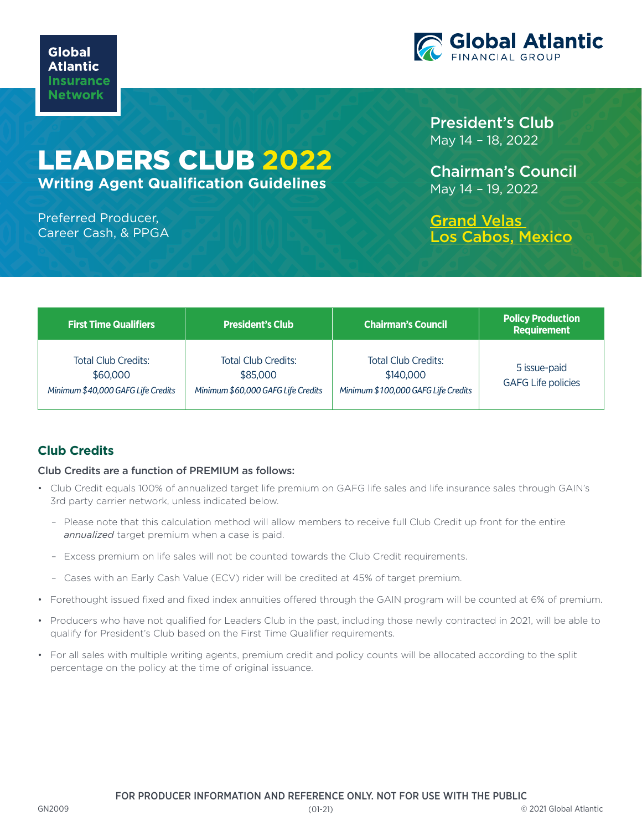

# LEADERS CLUB **2022**

**Writing Agent Qualification Guidelines**

Preferred Producer, Career Cash, & PPGA President's Club May 14 – 18, 2022

Chairman's Council May 14 – 19, 2022

[Grand Velas](https://loscabos.grandvelas.com/)  [Los Cabos, Mexico](https://loscabos.grandvelas.com/)

| <b>First Time Qualifiers</b>                                                 | <b>President's Club</b>                                                      | <b>Chairman's Council</b>                                                      | <b>Policy Production</b><br><b>Requirement</b> |
|------------------------------------------------------------------------------|------------------------------------------------------------------------------|--------------------------------------------------------------------------------|------------------------------------------------|
| <b>Total Club Credits:</b><br>\$60,000<br>Minimum \$40,000 GAFG Life Credits | <b>Total Club Credits:</b><br>\$85,000<br>Minimum \$60,000 GAFG Life Credits | <b>Total Club Credits:</b><br>\$140,000<br>Minimum \$100,000 GAFG Life Credits | 5 issue-paid<br><b>GAFG Life policies</b>      |

## **Club Credits**

#### Club Credits are a function of PREMIUM as follows:

- Club Credit equals 100% of annualized target life premium on GAFG life sales and life insurance sales through GAIN's 3rd party carrier network, unless indicated below.
	- Please note that this calculation method will allow members to receive full Club Credit up front for the entire *annualized* target premium when a case is paid.
	- Excess premium on life sales will not be counted towards the Club Credit requirements.
	- Cases with an Early Cash Value (ECV) rider will be credited at 45% of target premium.
- Forethought issued fixed and fixed index annuities offered through the GAIN program will be counted at 6% of premium.
- Producers who have not qualified for Leaders Club in the past, including those newly contracted in 2021, will be able to qualify for President's Club based on the First Time Qualifier requirements.
- For all sales with multiple writing agents, premium credit and policy counts will be allocated according to the split percentage on the policy at the time of original issuance.